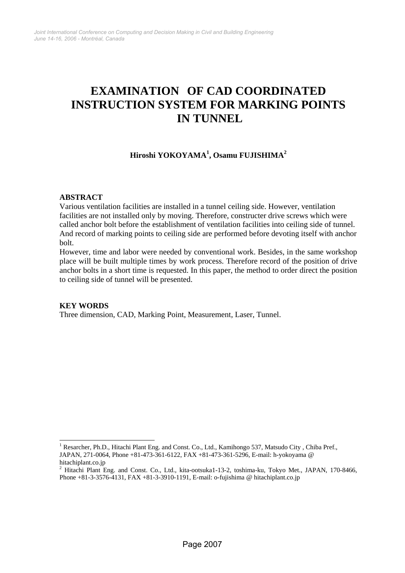# **EXAMINATION OF CAD COORDINATED INSTRUCTION SYSTEM FOR MARKING POINTS IN TUNNEL**

**Hiroshi YOKOYAMA<sup>1</sup> , Osamu FUJISHIMA<sup>2</sup>**

#### **ABSTRACT**

Various ventilation facilities are installed in a tunnel ceiling side. However, ventilation facilities are not installed only by moving. Therefore, constructer drive screws which were called anchor bolt before the establishment of ventilation facilities into ceiling side of tunnel. And record of marking points to ceiling side are performed before devoting itself with anchor bolt.

However, time and labor were needed by conventional work. Besides, in the same workshop place will be built multiple times by work process. Therefore record of the position of drive anchor bolts in a short time is requested. In this paper, the method to order direct the position to ceiling side of tunnel will be presented.

#### **KEY WORDS**

 $\overline{a}$ 

Three dimension, CAD, Marking Point, Measurement, Laser, Tunnel.

<sup>&</sup>lt;sup>1</sup> Resarcher, Ph.D., Hitachi Plant Eng. and Const. Co., Ltd., Kamihongo 537, Matsudo City, Chiba Pref., JAPAN, 271-0064, Phone +81-473-361-6122, FAX +81-473-361-5296, E-mail: h-yokoyama @ hitachiplant.co.jp

<sup>&</sup>lt;sup>2</sup> Hitachi Plant Eng. and Const. Co., Ltd., kita-ootsuka1-13-2, toshima-ku, Tokyo Met., JAPAN, 170-8466, Phone +81-3-3576-4131, FAX +81-3-3910-1191, E-mail: o-fujishima @ hitachiplant.co.jp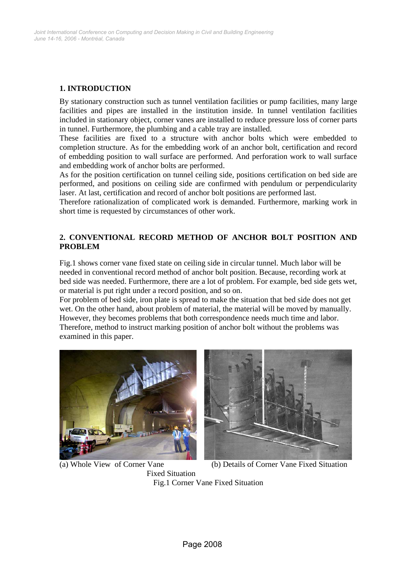## **1. INTRODUCTION**

By stationary construction such as tunnel ventilation facilities or pump facilities, many large facilities and pipes are installed in the institution inside. In tunnel ventilation facilities included in stationary object, corner vanes are installed to reduce pressure loss of corner parts in tunnel. Furthermore, the plumbing and a cable tray are installed.

These facilities are fixed to a structure with anchor bolts which were embedded to completion structure. As for the embedding work of an anchor bolt, certification and record of embedding position to wall surface are performed. And perforation work to wall surface and embedding work of anchor bolts are performed.

As for the position certification on tunnel ceiling side, positions certification on bed side are performed, and positions on ceiling side are confirmed with pendulum or perpendicularity laser. At last, certification and record of anchor bolt positions are performed last.

Therefore rationalization of complicated work is demanded. Furthermore, marking work in short time is requested by circumstances of other work.

## **2. CONVENTIONAL RECORD METHOD OF ANCHOR BOLT POSITION AND PROBLEM**

Fig.1 shows corner vane fixed state on ceiling side in circular tunnel. Much labor will be needed in conventional record method of anchor bolt position. Because, recording work at bed side was needed. Furthermore, there are a lot of problem. For example, bed side gets wet, or material is put right under a record position, and so on.

For problem of bed side, iron plate is spread to make the situation that bed side does not get wet. On the other hand, about problem of material, the material will be moved by manually. However, they becomes problems that both correspondence needs much time and labor. Therefore, method to instruct marking position of anchor bolt without the problems was examined in this paper.





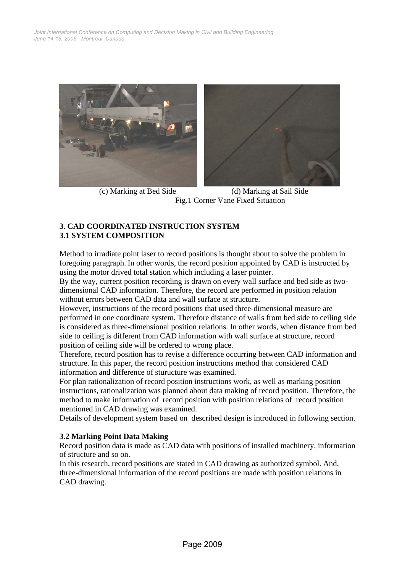

 (c) Marking at Bed Side (d) Marking at Sail Side Fig.1 Corner Vane Fixed Situation

#### **3. CAD COORDINATED INSTRUCTION SYSTEM 3.1 SYSTEM COMPOSITION**

Method to irradiate point laser to record positions is thought about to solve the problem in foregoing paragraph. In other words, the record position appointed by CAD is instructed by using the motor drived total station which including a laser pointer.

By the way, current position recording is drawn on every wall surface and bed side as twodimensional CAD information. Therefore, the record are performed in position relation without errors between CAD data and wall surface at structure.

However, instructions of the record positions that used three-dimensional measure are performed in one coordinate system. Therefore distance of walls from bed side to ceiling side is considered as three-dimensional position relations. In other words, when distance from bed side to ceiling is different from CAD information with wall surface at structure, record position of ceiling side will be ordered to wrong place.

Therefore, record position has to revise a difference occurring between CAD information and structure. In this paper, the record position instructions method that considered CAD information and difference of sturucture was examined.

For plan rationalization of record position instructions work, as well as marking position instructions, rationalization was planned about data making of record position. Therefore, the method to make information of record position with position relations of record position mentioned in CAD drawing was examined.

Details of development system based on described design is introduced in following section.

## **3.2 Marking Point Data Making**

Record position data is made as CAD data with positions of installed machinery, information of structure and so on.

In this research, record positions are stated in CAD drawing as authorized symbol. And, three-dimensional information of the record positions are made with position relations in CAD drawing.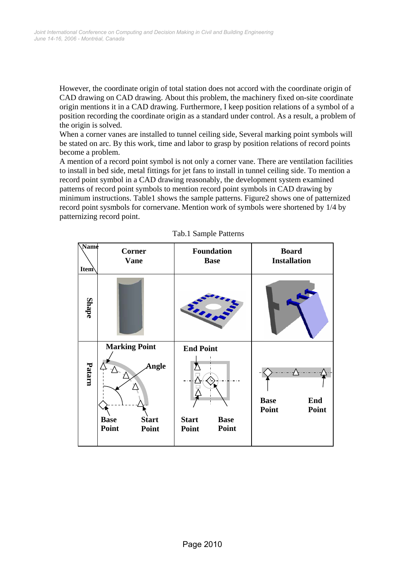However, the coordinate origin of total station does not accord with the coordinate origin of CAD drawing on CAD drawing. About this problem, the machinery fixed on-site coordinate origin mentions it in a CAD drawing. Furthermore, I keep position relations of a symbol of a position recording the coordinate origin as a standard under control. As a result, a problem of the origin is solved.

When a corner vanes are installed to tunnel ceiling side, Several marking point symbols will be stated on arc. By this work, time and labor to grasp by position relations of record points become a problem.

A mention of a record point symbol is not only a corner vane. There are ventilation facilities to install in bed side, metal fittings for jet fans to install in tunnel ceiling side. To mention a record point symbol in a CAD drawing reasonably, the development system examined patterns of record point symbols to mention record point symbols in CAD drawing by minimum instructions. Table1 shows the sample patterns. Figure2 shows one of patternized record point sysmbols for cornervane. Mention work of symbols were shortened by 1/4 by patternizing record point.



Tab.1 Sample Patterns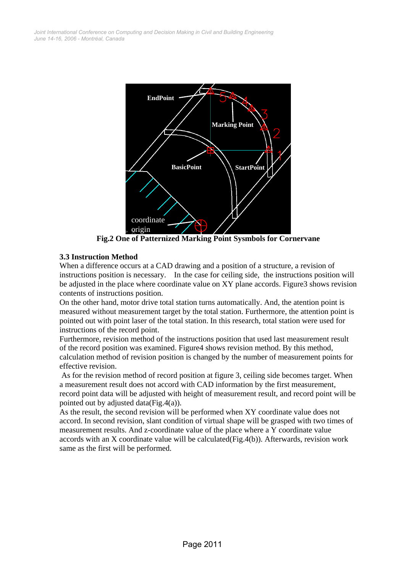

**Fig.2 One of Patternized Marking Point Sysmbols for Cornervane** 

# **3.3 Instruction Method**

When a difference occurs at a CAD drawing and a position of a structure, a revision of instructions position is necessary. In the case for ceiling side, the instructions position will be adjusted in the place where coordinate value on XY plane accords. Figure3 shows revision contents of instructions position.

On the other hand, motor drive total station turns automatically. And, the atention point is measured without measurement target by the total station. Furthermore, the attention point is pointed out with point laser of the total station. In this research, total station were used for instructions of the record point.

Furthermore, revision method of the instructions position that used last measurement result of the record position was examined. Figure4 shows revision method. By this method, calculation method of revision position is changed by the number of measurement points for effective revision.

 As for the revision method of record position at figure 3, ceiling side becomes target. When a measurement result does not accord with CAD information by the first measurement, record point data will be adjusted with height of measurement result, and record point will be pointed out by adjusted data(Fig.4(a)).

As the result, the second revision will be performed when XY coordinate value does not accord. In second revision, slant condition of virtual shape will be grasped with two times of measurement results. And z-coordinate value of the place where a Y coordinate value accords with an X coordinate value will be calculated(Fig.4(b)). Afterwards, revision work same as the first will be performed.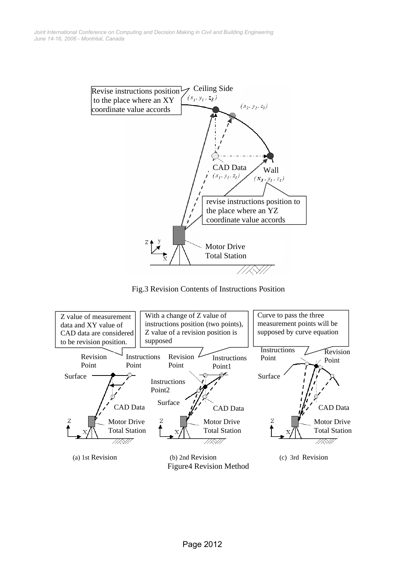

Fig.3 Revision Contents of Instructions Position

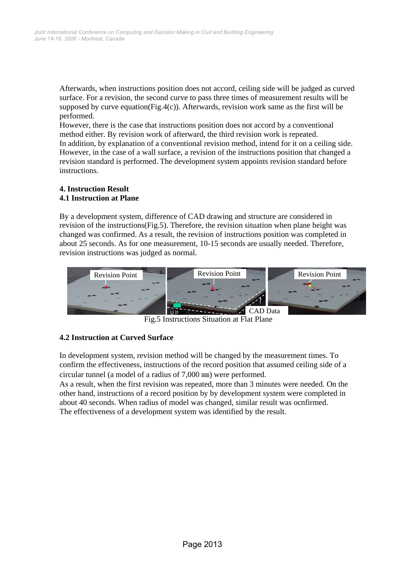Afterwards, when instructions position does not accord, ceiling side will be judged as curved surface. For a revision, the second curve to pass three times of measurement results will be supposed by curve equation(Fig.4(c)). Afterwards, revision work same as the first will be performed.

However, there is the case that instructions position does not accord by a conventional method either. By revision work of afterward, the third revision work is repeated. In addition, by explanation of a conventional revision method, intend for it on a ceiling side. However, in the case of a wall surface, a revision of the instructions position that changed a revision standard is performed. The development system appoints revision standard before instructions.

#### **4. Instruction Result 4.1 Instruction at Plane**

By a development system, difference of CAD drawing and structure are considered in revision of the instructions(Fig.5). Therefore, the revision situation when plane height was changed was confirmed. As a result, the revision of instructions position was completed in about 25 seconds. As for one measurement, 10-15 seconds are usually needed. Therefore, revision instructions was judged as normal.



Fig.5 Instructions Situation at Flat Plane

## **4.2 Instruction at Curved Surface**

In development system, revision method will be changed by the measurement times. To confirm the effectiveness, instructions of the record position that assumed ceiling side of a circular tunnel (a model of a radius of 7,000 ㎜) were performed.

As a result, when the first revision was repeated, more than 3 minutes were needed. On the other hand, instructions of a record position by by development system were completed in about 40 seconds. When radius of model was changed, similar result was ocnfirmed. The effectiveness of a development system was identified by the result.